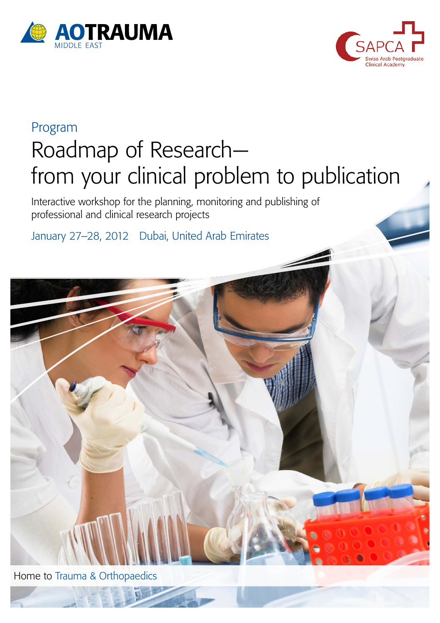



# Program Roadmap of Research from your clinical problem to publication

Interactive workshop for the planning, monitoring and publishing of professional and clinical research projects

January 27–28, 2012 Dubai, United Arab Emirates

Home to Trauma & Orthopaedics